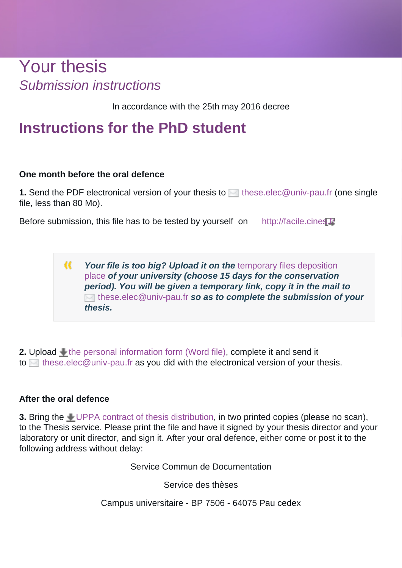# Your thesis Submission instructions

In accordance with the 25th may 2016 decree

### **Instructions for the PhD student**

#### **One month before the oral defence**

**1.** Send the PDF electronical version of your thesis to [these.elec@univ-pau.fr \(](mailto:these.elec@univ-pau.fr)one single file, less than 80 Mo).

Before submission, this file has to be tested by yourself on http://facile.cines

 $\alpha$ Your file is too big? Upload it on the *temporary* files deposition [place](https://filesender.renater.fr) **of your university (choose 15 days for the conservation period). You will be given a temporary link, copy it in the mail to** [these.elec@univ-pau.fr](mailto:these.elec@univ-pau.fr) **so as to complete the submission of your thesis.**

**2.** Upload  $\triangleq$  [the personal information form \(Word file\)](https://bibliotheques.univ-pau.fr/_resource/Images/Services/Votre%20th%C3%A8se/Fiche%20de%20renseignement%20doctorant%202020.pdf?download=true), complete it and send it to  $\blacksquare$  [these.elec@univ-pau.fr](mailto:these.elec@univ-pau.fr) as you did with the electronical version of your thesis.

#### **After the oral defence**

**3.** Bring the [UPPA contract of thesis distribution](https://bibliotheques.univ-pau.fr/_attachment/your-thesis-article/Contrat%20de%20diffusion%20de%20the%CC%80se%202017.pdf?download=true), in two printed copies (please no scan), to the Thesis service. Please print the file and have it signed by your thesis director and your laboratory or unit director, and sign it. After your oral defence, either come or post it to the following address without delay:

Service Commun de Documentation

Service des thèses

Campus universitaire - BP 7506 - 64075 Pau cedex